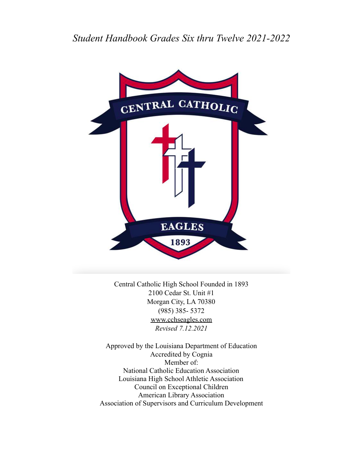## *Student Handbook Grades Six thru Twelve 2021-2022*



Central Catholic High School Founded in 1893 2100 Cedar St. Unit #1 Morgan City, LA 70380 (985) 385- 5372 [www.cchseagles.com](http://www.cchseagles.com) *Revised 7.12.2021*

Approved by the Louisiana Department of Education Accredited by Cognia Member of: National Catholic Education Association Louisiana High School Athletic Association Council on Exceptional Children American Library Association Association of Supervisors and Curriculum Development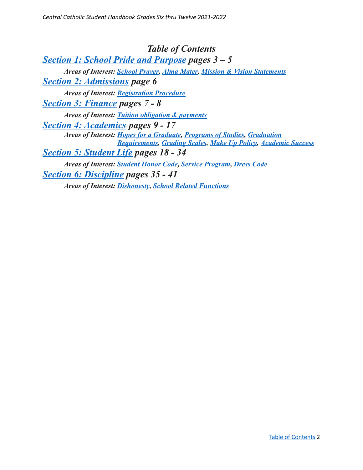<span id="page-1-0"></span>*Table of Contents Section 1: School Pride and [Purpose](#page-2-0) pages 3 – 5 Areas of Interest: [School Prayer,](#page-2-1) [Alma Mater,](#page-2-2) Mission [& Vision Statements](#page-3-0) Section 2: [Admissions](#page-5-0) page 6 Areas of Interest: [Registration Procedure](#page-5-1) Section 3: [Finance](#page-5-2) pages 7 - 8 Areas of Interest: [Tuition obligation & payments](#page-6-0) Section 4: [Academics](#page-8-0) pages 9 - 17 Areas of Interest: [Hopes for a Graduate](#page-8-1), Programs [of Studies](#page-10-0), [Graduation](#page-10-1) [Requirements,](#page-10-1) [Grading Scales](#page-11-0), [Make Up Policy,](#page-13-0) [Academic](#page-16-0) Success Section 5: [Student](#page-17-0) Life pages 18 - 34 Areas of Interest: [Student Honor Code,](#page-17-1) Service Program, Dress Code Section 6: [Discipline](#page-34-0) pages 35 - 41 Areas of Interest: [Dishonesty](#page-35-0), School Related Functions*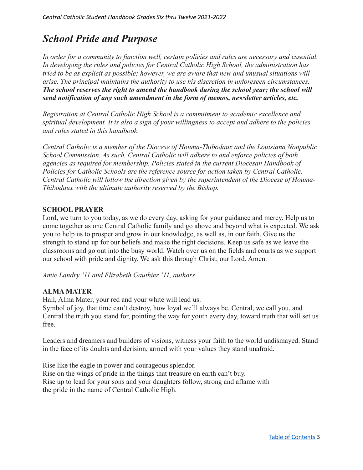# <span id="page-2-0"></span>*School Pride and Purpose*

<span id="page-2-1"></span>*In order for a community to function well, certain policies and rules are necessary and essential. In developing the rules and policies for Central Catholic High School, the administration has tried to be as explicit as possible; however, we are aware that new and unusual situations will arise. The principal maintains the authority to use his discretion in unforeseen circumstances. The school reserves the right to amend the handbook during the school year; the school will send notification of any such amendment in the form of memos, newsletter articles, etc.*

*Registration at Central Catholic High School is a commitment to academic excellence and spiritual development. It is also a sign of your willingness to accept and adhere to the policies and rules stated in this handbook.*

*Central Catholic is a member of the Diocese of Houma-Thibodaux and the Louisiana Nonpublic School Commission. As such, Central Catholic will adhere to and enforce policies of both agencies as required for membership. Policies stated in the current Diocesan Handbook of Policies for Catholic Schools are the reference source for action taken by Central Catholic. Central Catholic will follow the direction given by the superintendent of the Diocese of Houma-Thibodaux with the ultimate authority reserved by the Bishop.*

## **SCHOOL PRAYER**

Lord, we turn to you today, as we do every day, asking for your guidance and mercy. Help us to come together as one Central Catholic family and go above and beyond what is expected. We ask you to help us to prosper and grow in our knowledge, as well as, in our faith. Give us the strength to stand up for our beliefs and make the right decisions. Keep us safe as we leave the classrooms and go out into the busy world. Watch over us on the fields and courts as we support our school with pride and dignity. We ask this through Christ, our Lord. Amen.

*Amie Landry '11 and Elizabeth Gauthier '11, authors*

## <span id="page-2-2"></span>**ALMA MATER**

Hail, Alma Mater, your red and your white will lead us.

Symbol of joy, that time can't destroy, how loyal we'll always be. Central, we call you, and Central the truth you stand for, pointing the way for youth every day, toward truth that will set us free.

Leaders and dreamers and builders of visions, witness your faith to the world undismayed. Stand in the face of its doubts and derision, armed with your values they stand unafraid.

Rise like the eagle in power and courageous splendor. Rise on the wings of pride in the things that treasure on earth can't buy. Rise up to lead for your sons and your daughters follow, strong and aflame with the pride in the name of Central Catholic High.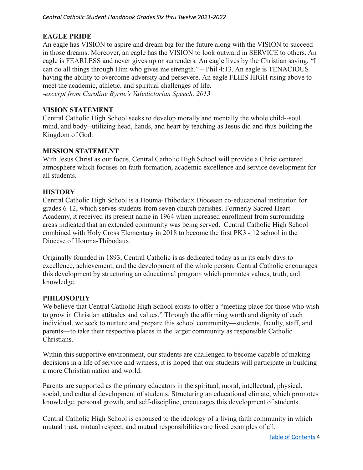## **EAGLE PRIDE**

An eagle has VISION to aspire and dream big for the future along with the VISION to succeed in those dreams. Moreover, an eagle has the VISION to look outward in SERVICE to others. An eagle is FEARLESS and never gives up or surrenders. An eagle lives by the Christian saying, "I can do all things through Him who gives me strength." – Phil 4:13. An eagle is TENACIOUS having the ability to overcome adversity and persevere. An eagle FLIES HIGH rising above to meet the academic, athletic, and spiritual challenges of life.

-*excerpt from Caroline Byrne's Valedictorian Speech, 2013*

## <span id="page-3-0"></span>**VISION STATEMENT**

Central Catholic High School seeks to develop morally and mentally the whole child--soul, mind, and body--utilizing head, hands, and heart by teaching as Jesus did and thus building the Kingdom of God.

## **MISSION STATEMENT**

With Jesus Christ as our focus, Central Catholic High School will provide a Christ centered atmosphere which focuses on faith formation, academic excellence and service development for all students.

#### **HISTORY**

Central Catholic High School is a Houma-Thibodaux Diocesan co-educational institution for grades 6-12, which serves students from seven church parishes. Formerly Sacred Heart Academy, it received its present name in 1964 when increased enrollment from surrounding areas indicated that an extended community was being served. Central Catholic High School combined with Holy Cross Elementary in 2018 to become the first PK3 - 12 school in the Diocese of Houma-Thibodaux.

Originally founded in 1893, Central Catholic is as dedicated today as in its early days to excellence, achievement, and the development of the whole person. Central Catholic encourages this development by structuring an educational program which promotes values, truth, and knowledge.

#### **PHILOSOPHY**

We believe that Central Catholic High School exists to offer a "meeting place for those who wish to grow in Christian attitudes and values." Through the affirming worth and dignity of each individual, we seek to nurture and prepare this school community—students, faculty, staff, and parents—to take their respective places in the larger community as responsible Catholic Christians.

Within this supportive environment, our students are challenged to become capable of making decisions in a life of service and witness, it is hoped that our students will participate in building a more Christian nation and world.

Parents are supported as the primary educators in the spiritual, moral, intellectual, physical, social, and cultural development of students. Structuring an educational climate, which promotes knowledge, personal growth, and self-discipline, encourages this development of students.

Central Catholic High School is espoused to the ideology of a living faith community in which mutual trust, mutual respect, and mutual responsibilities are lived examples of all.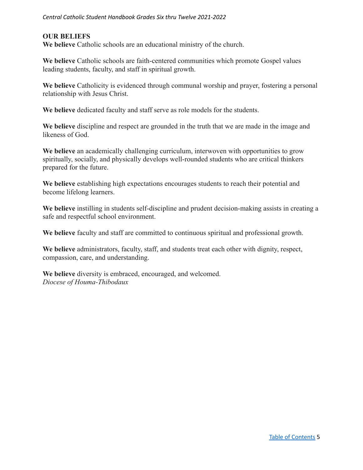## **OUR BELIEFS**

**We believe** Catholic schools are an educational ministry of the church.

**We believe** Catholic schools are faith-centered communities which promote Gospel values leading students, faculty, and staff in spiritual growth.

We believe Catholicity is evidenced through communal worship and prayer, fostering a personal relationship with Jesus Christ.

**We believe** dedicated faculty and staff serve as role models for the students.

**We believe** discipline and respect are grounded in the truth that we are made in the image and likeness of God.

**We believe** an academically challenging curriculum, interwoven with opportunities to grow spiritually, socially, and physically develops well-rounded students who are critical thinkers prepared for the future.

**We believe** establishing high expectations encourages students to reach their potential and become lifelong learners.

**We believe** instilling in students self-discipline and prudent decision-making assists in creating a safe and respectful school environment.

**We believe** faculty and staff are committed to continuous spiritual and professional growth.

**We believe** administrators, faculty, staff, and students treat each other with dignity, respect, compassion, care, and understanding.

**We believe** diversity is embraced, encouraged, and welcomed. *Diocese of Houma-Thibodaux*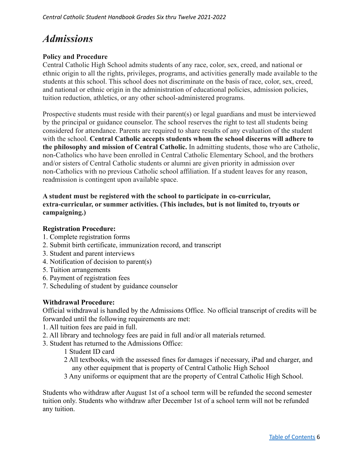# <span id="page-5-0"></span>*Admissions*

## **Policy and Procedure**

Central Catholic High School admits students of any race, color, sex, creed, and national or ethnic origin to all the rights, privileges, programs, and activities generally made available to the students at this school. This school does not discriminate on the basis of race, color, sex, creed, and national or ethnic origin in the administration of educational policies, admission policies, tuition reduction, athletics, or any other school-administered programs.

Prospective students must reside with their parent(s) or legal guardians and must be interviewed by the principal or guidance counselor. The school reserves the right to test all students being considered for attendance. Parents are required to share results of any evaluation of the student with the school. **Central Catholic accepts students whom the school discerns will adhere to the philosophy and mission of Central Catholic.** In admitting students, those who are Catholic, non-Catholics who have been enrolled in Central Catholic Elementary School, and the brothers and/or sisters of Central Catholic students or alumni are given priority in admission over non-Catholics with no previous Catholic school affiliation. If a student leaves for any reason, readmission is contingent upon available space.

## **A student must be registered with the school to participate in co-curricular, extra-curricular, or summer activities. (This includes, but is not limited to, tryouts or campaigning.)**

#### <span id="page-5-1"></span>**Registration Procedure:**

- 1. Complete registration forms
- 2. Submit birth certificate, immunization record, and transcript
- 3. Student and parent interviews
- 4. Notification of decision to parent(s)
- 5. Tuition arrangements
- 6. Payment of registration fees
- 7. Scheduling of student by guidance counselor

#### **Withdrawal Procedure:**

Official withdrawal is handled by the Admissions Office. No official transcript of credits will be forwarded until the following requirements are met:

- 1. All tuition fees are paid in full.
- 2. All library and technology fees are paid in full and/or all materials returned.
- 3. Student has returned to the Admissions Office:
	- 1 Student ID card
	- 2 All textbooks, with the assessed fines for damages if necessary, iPad and charger, and any other equipment that is property of Central Catholic High School
	- 3 Any uniforms or equipment that are the property of Central Catholic High School.

<span id="page-5-2"></span>Students who withdraw after August 1st of a school term will be refunded the second semester tuition only. Students who withdraw after December 1st of a school term will not be refunded any tuition.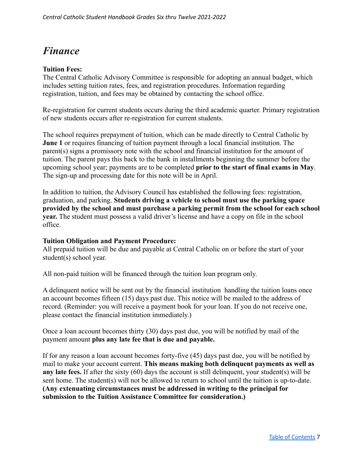## *Finance*

#### **Tuition Fees:**

The Central Catholic Advisory Committee is responsible for adopting an annual budget, which includes setting tuition rates, fees, and registration procedures. Information regarding registration, tuition, and fees may be obtained by contacting the school office.

Re-registration for current students occurs during the third academic quarter. Primary registration of new students occurs after re-registration for current students.

The school requires prepayment of tuition, which can be made directly to Central Catholic by **June 1** or requires financing of tuition payment through a local financial institution. The parent(s) signs a promissory note with the school and financial institution for the amount of tuition. The parent pays this back to the bank in installments beginning the summer before the upcoming school year; payments are to be completed **prior to the start of final exams in May**. The sign-up and processing date for this note will be in April.

In addition to tuition, the Advisory Council has established the following fees: registration, graduation, and parking. **Students driving a vehicle to school must use the parking space provided by the school and must purchase a parking permit from the school for each school year.** The student must possess a valid driver's license and have a copy on file in the school office.

#### <span id="page-6-0"></span>**Tuition Obligation and Payment Procedure:**

All prepaid tuition will be due and payable at Central Catholic on or before the start of your student(s) school year.

All non-paid tuition will be financed through the tuition loan program only.

A delinquent notice will be sent out by the financial institution handling the tuition loans once an account becomes fifteen (15) days past due. This notice will be mailed to the address of record. (Reminder: you will receive a payment book for your loan. If you do not receive one, please contact the financial institution immediately.)

Once a loan account becomes thirty (30) days past due, you will be notified by mail of the payment amount **plus any late fee that is due and payable.**

If for any reason a loan account becomes forty-five (45) days past due, you will be notified by mail to make your account current. **This means making both delinquent payments as well as any late fees.** If after the sixty (60) days the account is still delinquent, your student(s) will be sent home. The student(s) will not be allowed to return to school until the tuition is up-to-date. **(Any extenuating circumstances must be addressed in writing to the principal for submission to the Tuition Assistance Committee for consideration.)**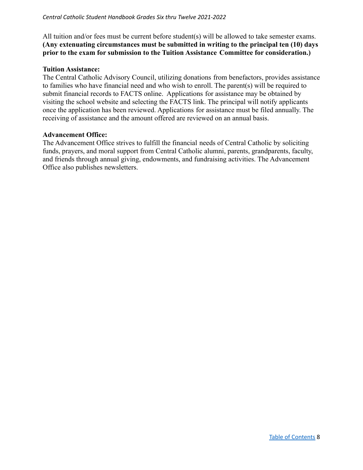All tuition and/or fees must be current before student(s) will be allowed to take semester exams. **(Any extenuating circumstances must be submitted in writing to the principal ten (10) days prior to the exam for submission to the Tuition Assistance Committee for consideration.)**

#### **Tuition Assistance:**

The Central Catholic Advisory Council, utilizing donations from benefactors, provides assistance to families who have financial need and who wish to enroll. The parent(s) will be required to submit financial records to FACTS online. Applications for assistance may be obtained by visiting the school website and selecting the FACTS link. The principal will notify applicants once the application has been reviewed. Applications for assistance must be filed annually. The receiving of assistance and the amount offered are reviewed on an annual basis.

#### **Advancement Office:**

The Advancement Office strives to fulfill the financial needs of Central Catholic by soliciting funds, prayers, and moral support from Central Catholic alumni, parents, grandparents, faculty, and friends through annual giving, endowments, and fundraising activities. The Advancement Office also publishes newsletters.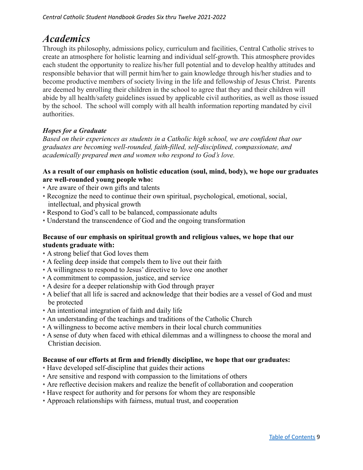## <span id="page-8-0"></span>*Academics*

Through its philosophy, admissions policy, curriculum and facilities, Central Catholic strives to create an atmosphere for holistic learning and individual self-growth. This atmosphere provides each student the opportunity to realize his/her full potential and to develop healthy attitudes and responsible behavior that will permit him/her to gain knowledge through his/her studies and to become productive members of society living in the life and fellowship of Jesus Christ. Parents are deemed by enrolling their children in the school to agree that they and their children will abide by all health/safety guidelines issued by applicable civil authorities, as well as those issued by the school. The school will comply with all health information reporting mandated by civil authorities.

## <span id="page-8-1"></span>*Hopes for a Graduate*

*Based on their experiences as students in a Catholic high school, we are confident that our graduates are becoming well-rounded, faith-filled, self-disciplined, compassionate, and academically prepared men and women who respond to God's love.*

## **As a result of our emphasis on holistic education (soul, mind, body), we hope our graduates are well-rounded young people who:**

- Are aware of their own gifts and talents
- Recognize the need to continue their own spiritual, psychological, emotional, social, intellectual, and physical growth
- Respond to God's call to be balanced, compassionate adults
- Understand the transcendence of God and the ongoing transformation

## **Because of our emphasis on spiritual growth and religious values, we hope that our students graduate with:**

- A strong belief that God loves them
- A feeling deep inside that compels them to live out their faith
- A willingness to respond to Jesus' directive to love one another
- A commitment to compassion, justice, and service
- A desire for a deeper relationship with God through prayer
- A belief that all life is sacred and acknowledge that their bodies are a vessel of God and must be protected
- An intentional integration of faith and daily life
- An understanding of the teachings and traditions of the Catholic Church
- A willingness to become active members in their local church communities
- A sense of duty when faced with ethical dilemmas and a willingness to choose the moral and Christian decision.

## **Because of our efforts at firm and friendly discipline, we hope that our graduates:**

- Have developed self-discipline that guides their actions
- Are sensitive and respond with compassion to the limitations of others
- Are reflective decision makers and realize the benefit of collaboration and cooperation
- Have respect for authority and for persons for whom they are responsible
- Approach relationships with fairness, mutual trust, and cooperation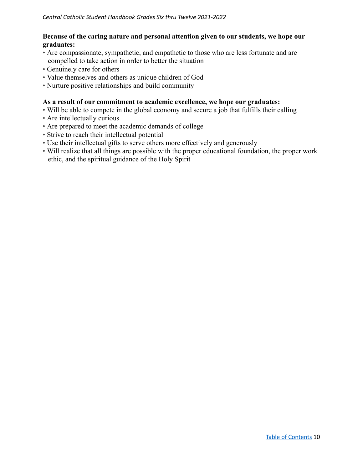### **Because of the caring nature and personal attention given to our students, we hope our graduates:**

- Are compassionate, sympathetic, and empathetic to those who are less fortunate and are compelled to take action in order to better the situation
- Genuinely care for others
- Value themselves and others as unique children of God
- Nurture positive relationships and build community

## **As a result of our commitment to academic excellence, we hope our graduates:**

- Will be able to compete in the global economy and secure a job that fulfills their calling
- Are intellectually curious
- Are prepared to meet the academic demands of college
- Strive to reach their intellectual potential
- Use their intellectual gifts to serve others more effectively and generously
- Will realize that all things are possible with the proper educational foundation, the proper work ethic, and the spiritual guidance of the Holy Spirit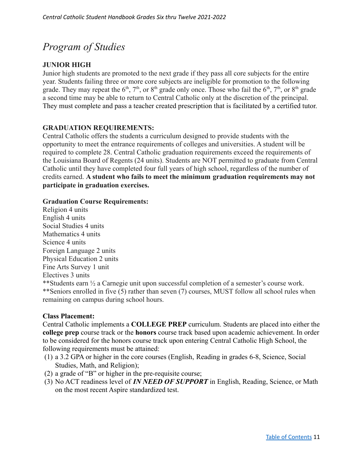# <span id="page-10-0"></span>*Program of Studies*

## **JUNIOR HIGH**

Junior high students are promoted to the next grade if they pass all core subjects for the entire year. Students failing three or more core subjects are ineligible for promotion to the following grade. They may repeat the  $6<sup>th</sup>$ ,  $7<sup>th</sup>$ , or  $8<sup>th</sup>$  grade only once. Those who fail the  $6<sup>th</sup>$ ,  $7<sup>th</sup>$ , or  $8<sup>th</sup>$  grade a second time may be able to return to Central Catholic only at the discretion of the principal. They must complete and pass a teacher created prescription that is facilitated by a certified tutor.

## <span id="page-10-1"></span>**GRADUATION REQUIREMENTS:**

Central Catholic offers the students a curriculum designed to provide students with the opportunity to meet the entrance requirements of colleges and universities. A student will be required to complete 28. Central Catholic graduation requirements exceed the requirements of the Louisiana Board of Regents (24 units). Students are NOT permitted to graduate from Central Catholic until they have completed four full years of high school, regardless of the number of credits earned. **A student who fails to meet the minimum graduation requirements may not participate in graduation exercises.**

#### **Graduation Course Requirements:**

Religion 4 units English 4 units Social Studies 4 units Mathematics 4 units Science 4 units Foreign Language 2 units Physical Education 2 units Fine Arts Survey 1 unit Electives 3 units \*\*Students earn ½ a Carnegie unit upon successful completion of a semester's course work. \*\*Seniors enrolled in five (5) rather than seven (7) courses, MUST follow all school rules when remaining on campus during school hours.

#### **Class Placement:**

Central Catholic implements a **COLLEGE PREP** curriculum. Students are placed into either the **college prep** course track or the **honors** course track based upon academic achievement. In order to be considered for the honors course track upon entering Central Catholic High School, the following requirements must be attained:

- (1) a 3.2 GPA or higher in the core courses (English, Reading in grades 6-8, Science, Social Studies, Math, and Religion);
- (2) a grade of "B" or higher in the pre-requisite course;
- (3) No ACT readiness level of *IN NEED OF SUPPORT* in English, Reading, Science, or Math on the most recent Aspire standardized test.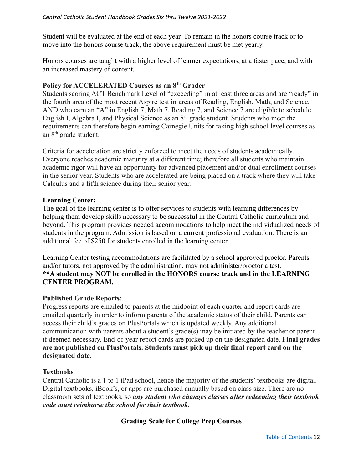Student will be evaluated at the end of each year. To remain in the honors course track or to move into the honors course track, the above requirement must be met yearly.

Honors courses are taught with a higher level of learner expectations, at a faster pace, and with an increased mastery of content.

## **Policy for ACCELERATED Courses as an 8th Grader**

Students scoring ACT Benchmark Level of "exceeding" in at least three areas and are "ready" in the fourth area of the most recent Aspire test in areas of Reading, English, Math, and Science, AND who earn an "A" in English 7, Math 7, Reading 7, and Science 7 are eligible to schedule English I, Algebra I, and Physical Science as an  $8<sup>th</sup>$  grade student. Students who meet the requirements can therefore begin earning Carnegie Units for taking high school level courses as an 8<sup>th</sup> grade student.

Criteria for acceleration are strictly enforced to meet the needs of students academically. Everyone reaches academic maturity at a different time; therefore all students who maintain academic rigor will have an opportunity for advanced placement and/or dual enrollment courses in the senior year. Students who are accelerated are being placed on a track where they will take Calculus and a fifth science during their senior year.

## **Learning Center:**

The goal of the learning center is to offer services to students with learning differences by helping them develop skills necessary to be successful in the Central Catholic curriculum and beyond. This program provides needed accommodations to help meet the individualized needs of students in the program. Admission is based on a current professional evaluation. There is an additional fee of \$250 for students enrolled in the learning center.

Learning Center testing accommodations are facilitated by a school approved proctor. Parents and/or tutors, not approved by the administration, may not administer/proctor a test. **\*\*A student may NOT be enrolled in the HONORS course track and in the LEARNING CENTER PROGRAM.**

## **Published Grade Reports:**

Progress reports are emailed to parents at the midpoint of each quarter and report cards are emailed quarterly in order to inform parents of the academic status of their child. Parents can access their child's grades on PlusPortals which is updated weekly. Any additional communication with parents about a student's grade(s) may be initiated by the teacher or parent if deemed necessary. End-of-year report cards are picked up on the designated date. **Final grades are not published on PlusPortals. Students must pick up their final report card on the designated date.**

#### **Textbooks**

<span id="page-11-0"></span>Central Catholic is a 1 to 1 iPad school, hence the majority of the students' textbooks are digital. Digital textbooks, iBook's, or apps are purchased annually based on class size. There are no classroom sets of textbooks, so *any student who changes classes after redeeming their textbook code must reimburse the school for their textbook.*

## **Grading Scale for College Prep Courses**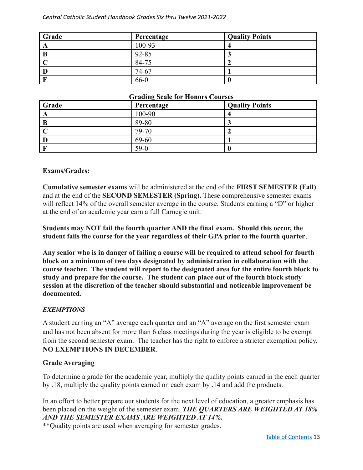| Grade | Percentage | <b>Quality Points</b> |
|-------|------------|-----------------------|
|       | 100-93     |                       |
|       | 92-85      |                       |
|       | 84-75      |                       |
|       | 74-67      |                       |
|       | 66-0       |                       |

#### **Grading Scale for Honors Courses**

| Grade | -<br>Percentage | <b>Quality Points</b> |
|-------|-----------------|-----------------------|
| A     | 100-90          |                       |
| B     | 89-80           |                       |
|       | 79-70           |                       |
|       | 69-60           |                       |
|       | $59-0$          |                       |

#### **Exams/Grades:**

**Cumulative semester exams** will be administered at the end of the **FIRST SEMESTER (Fall)** and at the end of the **SECOND SEMESTER (Spring).** These comprehensive semester exams will reflect 14% of the overall semester average in the course. Students earning a "D" or higher at the end of an academic year earn a full Carnegie unit.

**Students may NOT fail the fourth quarter AND the final exam. Should this occur, the student fails the course for the year regardless of their GPA prior to the fourth quarter**.

**Any senior who is in danger of failing a course will be required to attend school for fourth block on a minimum of two days designated by administration in collaboration with the course teacher. The student will report to the designated area for the entire fourth block to study and prepare for the course. The student can place out of the fourth block study session at the discretion of the teacher should substantial and noticeable improvement be documented.**

#### *EXEMPTIONS*

A student earning an "A" average each quarter and an "A" average on the first semester exam and has not been absent for more than 6 class meetings during the year is eligible to be exempt from the second semester exam. The teacher has the right to enforce a stricter exemption policy. **NO EXEMPTIONS IN DECEMBER**.

#### **Grade Averaging**

To determine a grade for the academic year, multiply the quality points earned in the each quarter by .18, multiply the quality points earned on each exam by .14 and add the products.

In an effort to better prepare our students for the next level of education, a greater emphasis has been placed on the weight of the semester exam. *THE QUARTERS ARE WEIGHTED AT 18% AND THE SEMESTER EXAMS ARE WEIGHTED AT 14%.*

\*\*Quality points are used when averaging for semester grades.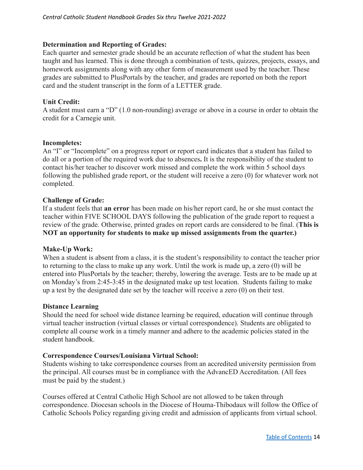## **Determination and Reporting of Grades:**

Each quarter and semester grade should be an accurate reflection of what the student has been taught and has learned. This is done through a combination of tests, quizzes, projects, essays, and homework assignments along with any other form of measurement used by the teacher. These grades are submitted to PlusPortals by the teacher, and grades are reported on both the report card and the student transcript in the form of a LETTER grade.

## **Unit Credit:**

A student must earn a "D" (1.0 non-rounding) average or above in a course in order to obtain the credit for a Carnegie unit.

#### **Incompletes:**

An "I" or "Incomplete" on a progress report or report card indicates that a student has failed to do all or a portion of the required work due to absences**.** It is the responsibility of the student to contact his/her teacher to discover work missed and complete the work within 5 school days following the published grade report, or the student will receive a zero (0) for whatever work not completed.

## **Challenge of Grade:**

If a student feels that **an error** has been made on his/her report card, he or she must contact the teacher within FIVE SCHOOL DAYS following the publication of the grade report to request a review of the grade. Otherwise, printed grades on report cards are considered to be final. (**This is NOT an opportunity for students to make up missed assignments from the quarter.)**

#### <span id="page-13-0"></span>**Make-Up Work:**

When a student is absent from a class, it is the student's responsibility to contact the teacher prior to returning to the class to make up any work. Until the work is made up, a zero (0) will be entered into PlusPortals by the teacher; thereby, lowering the average. Tests are to be made up at on Monday's from 2:45-3:45 in the designated make up test location. Students failing to make up a test by the designated date set by the teacher will receive a zero (0) on their test.

#### **Distance Learning**

Should the need for school wide distance learning be required, education will continue through virtual teacher instruction (virtual classes or virtual correspondence). Students are obligated to complete all course work in a timely manner and adhere to the academic policies stated in the student handbook.

## **Correspondence Courses/Louisiana Virtual School:**

Students wishing to take correspondence courses from an accredited university permission from the principal. All courses must be in compliance with the AdvancED Accreditation. (All fees must be paid by the student.)

Courses offered at Central Catholic High School are not allowed to be taken through correspondence. Diocesan schools in the Diocese of Houma-Thibodaux will follow the Office of Catholic Schools Policy regarding giving credit and admission of applicants from virtual school.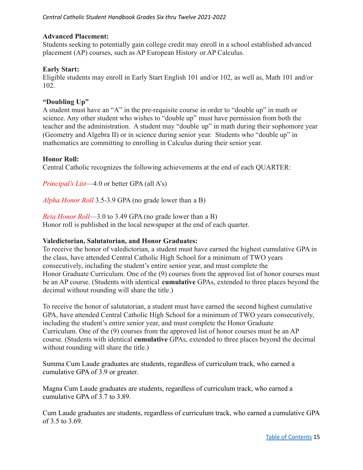## **Advanced Placement:**

Students seeking to potentially gain college credit may enroll in a school established advanced placement (AP) courses, such as AP European History or AP Calculus.

## **Early Start:**

Eligible students may enroll in Early Start English 101 and/or 102, as well as, Math 101 and/or 102.

## **"Doubling Up"**

A student must have an "A" in the pre-requisite course in order to "double up" in math or science. Any other student who wishes to "double up" must have permission from both the teacher and the administration. A student may "double up" in math during their sophomore year (Geometry and Algebra II) or in science during senior year. Students who "double up" in mathematics are committing to enrolling in Calculus during their senior year.

## **Honor Roll:**

Central Catholic recognizes the following achievements at the end of each QUARTER:

*Principal's List*—4.0 or better GPA (all A's)

*Alpha Honor Roll* 3.5-3.9 GPA (no grade lower than a B)

*Beta Honor Roll*—3.0 to 3.49 GPA (no grade lower than a B) Honor roll is published in the local newspaper at the end of each quarter.

#### **Valedictorian, Salutatorian, and Honor Graduates:**

To receive the honor of valedictorian, a student must have earned the highest cumulative GPA in the class, have attended Central Catholic High School for a minimum of TWO years consecutively, including the student's entire senior year, and must complete the Honor Graduate Curriculum. One of the (9) courses from the approved list of honor courses must be an AP course. (Students with identical **cumulative** GPAs, extended to three places beyond the decimal without rounding will share the title.)

To receive the honor of salutatorian, a student must have earned the second highest cumulative GPA, have attended Central Catholic High School for a minimum of TWO years consecutively, including the student's entire senior year, and must complete the Honor Graduate Curriculum. One of the (9) courses from the approved list of honor courses must be an AP course. (Students with identical **cumulative** GPAs, extended to three places beyond the decimal without rounding will share the title.)

Summa Cum Laude graduates are students, regardless of curriculum track, who earned a cumulative GPA of 3.9 or greater.

Magna Cum Laude graduates are students, regardless of curriculum track, who earned a cumulative GPA of 3.7 to 3.89.

Cum Laude graduates are students, regardless of curriculum track, who earned a cumulative GPA of 3.5 to 3.69.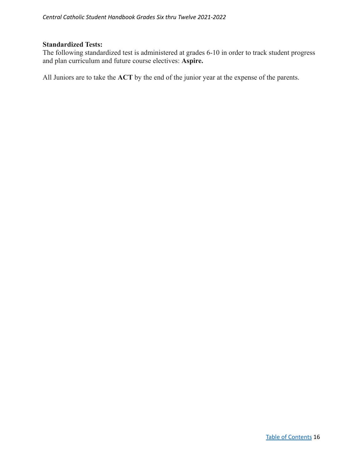#### **Standardized Tests:**

The following standardized test is administered at grades 6-10 in order to track student progress and plan curriculum and future course electives: **Aspire.**

All Juniors are to take the **ACT** by the end of the junior year at the expense of the parents.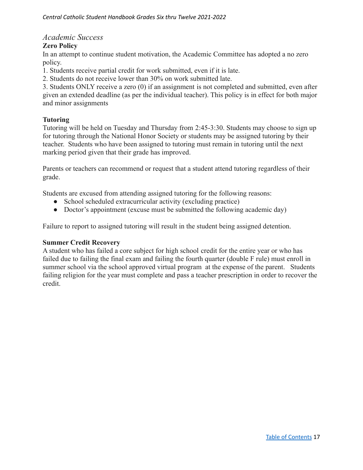## <span id="page-16-0"></span>*Academic Success*

## **Zero Policy**

In an attempt to continue student motivation, the Academic Committee has adopted a no zero policy.

1. Students receive partial credit for work submitted, even if it is late.

2. Students do not receive lower than 30% on work submitted late.

3. Students ONLY receive a zero (0) if an assignment is not completed and submitted, even after given an extended deadline (as per the individual teacher). This policy is in effect for both major and minor assignments

## **Tutoring**

Tutoring will be held on Tuesday and Thursday from 2:45-3:30. Students may choose to sign up for tutoring through the National Honor Society or students may be assigned tutoring by their teacher. Students who have been assigned to tutoring must remain in tutoring until the next marking period given that their grade has improved.

Parents or teachers can recommend or request that a student attend tutoring regardless of their grade.

Students are excused from attending assigned tutoring for the following reasons:

- School scheduled extracurricular activity (excluding practice)
- Doctor's appointment (excuse must be submitted the following academic day)

Failure to report to assigned tutoring will result in the student being assigned detention.

#### **Summer Credit Recovery**

A student who has failed a core subject for high school credit for the entire year or who has failed due to failing the final exam and failing the fourth quarter (double F rule) must enroll in summer school via the school approved virtual program at the expense of the parent. Students failing religion for the year must complete and pass a teacher prescription in order to recover the credit.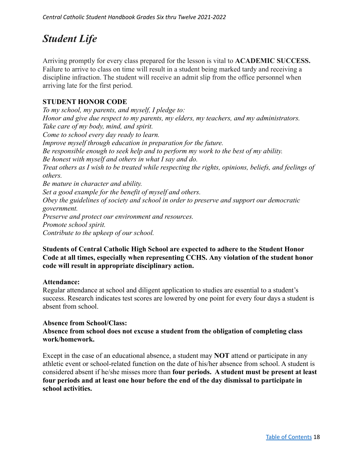# <span id="page-17-0"></span>*Student Life*

Arriving promptly for every class prepared for the lesson is vital to **ACADEMIC SUCCESS.** Failure to arrive to class on time will result in a student being marked tardy and receiving a discipline infraction. The student will receive an admit slip from the office personnel when arriving late for the first period.

## <span id="page-17-1"></span>**STUDENT HONOR CODE**

*To my school, my parents, and myself, I pledge to: Honor and give due respect to my parents, my elders, my teachers, and my administrators. Take care of my body, mind, and spirit. Come to school every day ready to learn. Improve myself through education in preparation for the future. Be responsible enough to seek help and to perform my work to the best of my ability. Be honest with myself and others in what I say and do. Treat others as I wish to be treated while respecting the rights, opinions, beliefs, and feelings of others. Be mature in character and ability. Set a good example for the benefit of myself and others. Obey the guidelines of society and school in order to preserve and support our democratic government. Preserve and protect our environment and resources. Promote school spirit. Contribute to the upkeep of our school.*

## **Students of Central Catholic High School are expected to adhere to the Student Honor Code at all times, especially when representing CCHS. Any violation of the student honor code will result in appropriate disciplinary action.**

#### **Attendance:**

Regular attendance at school and diligent application to studies are essential to a student's success. Research indicates test scores are lowered by one point for every four days a student is absent from school.

## **Absence from School/Class:**

**Absence from school does not excuse a student from the obligation of completing class work/homework.**

Except in the case of an educational absence, a student may **NOT** attend or participate in any athletic event or school-related function on the date of his/her absence from school. A student is considered absent if he/she misses more than **four periods. A student must be present at least four periods and at least one hour before the end of the day dismissal to participate in school activities.**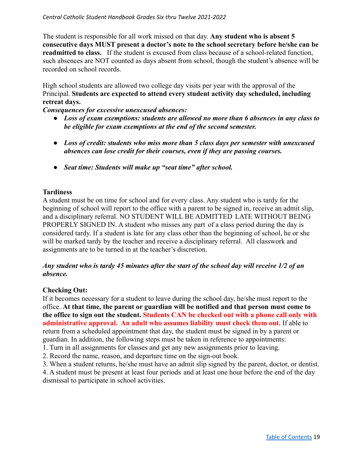#### *Central Catholic Student Handbook Grades Six thru Twelve 2021-2022*

The student is responsible for all work missed on that day. **Any student who is absent 5 consecutive days MUST present a doctor's note to the school secretary before he/she can be readmitted to class.** If the student is excused from class because of a school-related function, such absences are NOT counted as days absent from school, though the student's absence will be recorded on school records.

High school students are allowed two college day visits per year with the approval of the Principal. **Students are expected to attend every student activity day scheduled, including retreat days.**

*Consequences for excessive unexcused absences:*

- *● Loss of exam exemptions: students are allowed no more than 6 absences in any class to be eligible for exam exemptions at the end of the second semester.*
- *Loss of credit: students who miss more than 5 class days per semester with unexcused absences can lose credit for their courses, even if they are passing courses.*
- *● Seat time: Students will make up "seat time" after school.*

## **Tardiness**

A student must be on time for school and for every class. Any student who is tardy for the beginning of school will report to the office with a parent to be signed in, receive an admit slip, and a disciplinary referral. NO STUDENT WILL BE ADMITTED LATE WITHOUT BEING PROPERLY SIGNED IN. A student who misses any part of a class period during the day is considered tardy. If a student is late for any class other than the beginning of school, he or she will be marked tardy by the teacher and receive a disciplinary referral. All classwork and assignments are to be turned in at the teacher's discretion.

## *Any student who is tardy 45 minutes after the start of the school day will receive 1/2 of an absence.*

## **Checking Out:**

If it becomes necessary for a student to leave during the school day, he/she must report to the office. **At that time, the parent or guardian will be notified and that person must come to the office to sign out the student. Students CAN be checked out with a phone call only with administrative approval. An adult who assumes liability must check them out.** If able to return from a scheduled appointment that day, the student must be signed in by a parent or guardian. In addition, the following steps must be taken in reference to appointments:

1. Turn in all assignments for classes and get any new assignments prior to leaving.

2. Record the name, reason, and departure time on the sign-out book.

3. When a student returns, he/she must have an admit slip signed by the parent, doctor, or dentist.

4. A student must be present at least four periods and at least one hour before the end of the day dismissal to participate in school activities.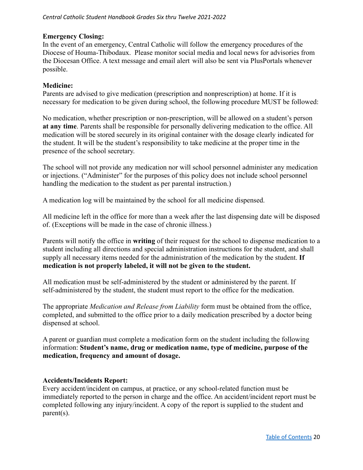### **Emergency Closing:**

In the event of an emergency, Central Catholic will follow the emergency procedures of the Diocese of Houma-Thibodaux. Please monitor social media and local news for advisories from the Diocesan Office. A text message and email alert will also be sent via PlusPortals whenever possible.

## **Medicine:**

Parents are advised to give medication (prescription and nonprescription) at home. If it is necessary for medication to be given during school, the following procedure MUST be followed:

No medication, whether prescription or non-prescription, will be allowed on a student's person **at any time**. Parents shall be responsible for personally delivering medication to the office. All medication will be stored securely in its original container with the dosage clearly indicated for the student. It will be the student's responsibility to take medicine at the proper time in the presence of the school secretary.

The school will not provide any medication nor will school personnel administer any medication or injections. ("Administer" for the purposes of this policy does not include school personnel handling the medication to the student as per parental instruction.)

A medication log will be maintained by the school for all medicine dispensed.

All medicine left in the office for more than a week after the last dispensing date will be disposed of. (Exceptions will be made in the case of chronic illness.)

Parents will notify the office in **writing** of their request for the school to dispense medication to a student including all directions and special administration instructions for the student, and shall supply all necessary items needed for the administration of the medication by the student. **If medication is not properly labeled, it will not be given to the student.**

All medication must be self-administered by the student or administered by the parent. If self-administered by the student, the student must report to the office for the medication.

The appropriate *Medication and Release from Liability* form must be obtained from the office, completed, and submitted to the office prior to a daily medication prescribed by a doctor being dispensed at school.

A parent or guardian must complete a medication form on the student including the following information: **Student's name, drug or medication name, type of medicine, purpose of the medication, frequency and amount of dosage.**

## **Accidents/Incidents Report:**

Every accident/incident on campus, at practice, or any school-related function must be immediately reported to the person in charge and the office. An accident/incident report must be completed following any injury/incident. A copy of the report is supplied to the student and parent(s).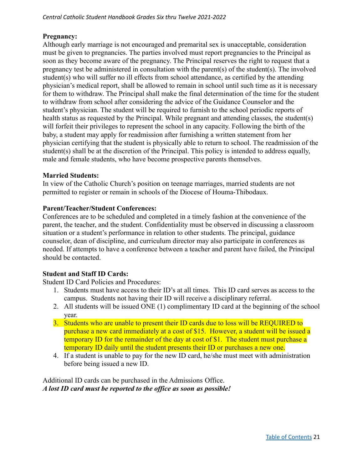## **Pregnancy:**

Although early marriage is not encouraged and premarital sex is unacceptable, consideration must be given to pregnancies. The parties involved must report pregnancies to the Principal as soon as they become aware of the pregnancy. The Principal reserves the right to request that a pregnancy test be administered in consultation with the parent(s) of the student(s). The involved student(s) who will suffer no ill effects from school attendance, as certified by the attending physician's medical report, shall be allowed to remain in school until such time as it is necessary for them to withdraw. The Principal shall make the final determination of the time for the student to withdraw from school after considering the advice of the Guidance Counselor and the student's physician. The student will be required to furnish to the school periodic reports of health status as requested by the Principal. While pregnant and attending classes, the student(s) will forfeit their privileges to represent the school in any capacity. Following the birth of the baby, a student may apply for readmission after furnishing a written statement from her physician certifying that the student is physically able to return to school. The readmission of the student(s) shall be at the discretion of the Principal. This policy is intended to address equally, male and female students, who have become prospective parents themselves.

#### **Married Students:**

In view of the Catholic Church's position on teenage marriages, married students are not permitted to register or remain in schools of the Diocese of Houma-Thibodaux.

#### **Parent/Teacher/Student Conferences:**

Conferences are to be scheduled and completed in a timely fashion at the convenience of the parent, the teacher, and the student. Confidentiality must be observed in discussing a classroom situation or a student's performance in relation to other students. The principal, guidance counselor, dean of discipline, and curriculum director may also participate in conferences as needed. If attempts to have a conference between a teacher and parent have failed, the Principal should be contacted.

#### **Student and Staff ID Cards:**

Student ID Card Policies and Procedures:

- 1. Students must have access to their ID's at all times. This ID card serves as access to the campus. Students not having their ID will receive a disciplinary referral.
- 2. All students will be issued ONE (1) complimentary ID card at the beginning of the school year.
- 3. Students who are unable to present their ID cards due to loss will be REQUIRED to purchase a new card immediately at a cost of \$15. However, a student will be issued a temporary ID for the remainder of the day at cost of \$1. The student must purchase a temporary ID daily until the student presents their ID or purchases a new one.
- 4. If a student is unable to pay for the new ID card, he/she must meet with administration before being issued a new ID.

Additional ID cards can be purchased in the Admissions Office. *A lost ID card must be reported to the office as soon as possible!*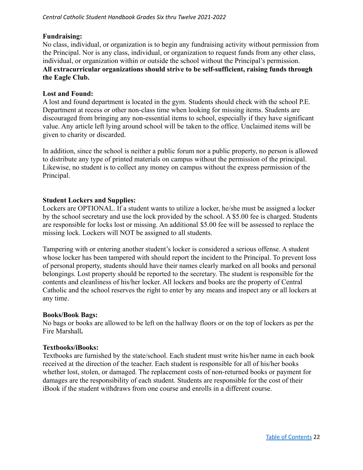#### *Central Catholic Student Handbook Grades Six thru Twelve 2021-2022*

#### **Fundraising:**

No class, individual, or organization is to begin any fundraising activity without permission from the Principal. Nor is any class, individual, or organization to request funds from any other class, individual, or organization within or outside the school without the Principal's permission. **All extracurricular organizations should strive to be self-sufficient, raising funds through the Eagle Club.**

#### **Lost and Found:**

A lost and found department is located in the gym. Students should check with the school P.E. Department at recess or other non-class time when looking for missing items. Students are discouraged from bringing any non-essential items to school, especially if they have significant value. Any article left lying around school will be taken to the office. Unclaimed items will be given to charity or discarded.

In addition, since the school is neither a public forum nor a public property, no person is allowed to distribute any type of printed materials on campus without the permission of the principal. Likewise, no student is to collect any money on campus without the express permission of the Principal.

#### **Student Lockers and Supplies:**

Lockers are OPTIONAL. If a student wants to utilize a locker, he/she must be assigned a locker by the school secretary and use the lock provided by the school. A \$5.00 fee is charged. Students are responsible for locks lost or missing. An additional \$5.00 fee will be assessed to replace the missing lock. Lockers will NOT be assigned to all students.

Tampering with or entering another student's locker is considered a serious offense. A student whose locker has been tampered with should report the incident to the Principal. To prevent loss of personal property, students should have their names clearly marked on all books and personal belongings. Lost property should be reported to the secretary. The student is responsible for the contents and cleanliness of his/her locker. All lockers and books are the property of Central Catholic and the school reserves the right to enter by any means and inspect any or all lockers at any time.

#### **Books/Book Bags:**

No bags or books are allowed to be left on the hallway floors or on the top of lockers as per the Fire Marshall**.**

#### **Textbooks/iBooks:**

Textbooks are furnished by the state/school. Each student must write his/her name in each book received at the direction of the teacher. Each student is responsible for all of his/her books whether lost, stolen, or damaged. The replacement costs of non-returned books or payment for damages are the responsibility of each student. Students are responsible for the cost of their iBook if the student withdraws from one course and enrolls in a different course.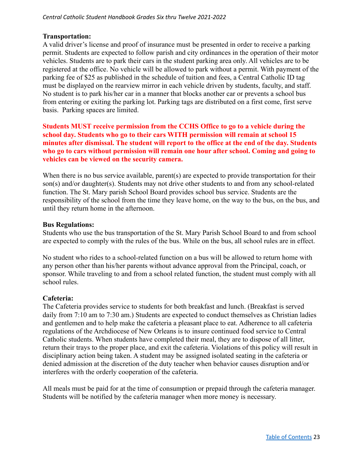## **Transportation:**

A valid driver's license and proof of insurance must be presented in order to receive a parking permit. Students are expected to follow parish and city ordinances in the operation of their motor vehicles. Students are to park their cars in the student parking area only. All vehicles are to be registered at the office. No vehicle will be allowed to park without a permit. With payment of the parking fee of \$25 as published in the schedule of tuition and fees, a Central Catholic ID tag must be displayed on the rearview mirror in each vehicle driven by students, faculty, and staff. No student is to park his/her car in a manner that blocks another car or prevents a school bus from entering or exiting the parking lot. Parking tags are distributed on a first come, first serve basis. Parking spaces are limited.

**Students MUST receive permission from the CCHS Office to go to a vehicle during the school day. Students who go to their cars WITH permission will remain at school 15 minutes after dismissal. The student will report to the office at the end of the day. Students who go to cars without permission will remain one hour after school. Coming and going to vehicles can be viewed on the security camera.**

When there is no bus service available, parent(s) are expected to provide transportation for their son(s) and/or daughter(s). Students may not drive other students to and from any school-related function. The St. Mary parish School Board provides school bus service. Students are the responsibility of the school from the time they leave home, on the way to the bus, on the bus, and until they return home in the afternoon.

#### **Bus Regulations:**

Students who use the bus transportation of the St. Mary Parish School Board to and from school are expected to comply with the rules of the bus. While on the bus, all school rules are in effect.

No student who rides to a school-related function on a bus will be allowed to return home with any person other than his/her parents without advance approval from the Principal, coach, or sponsor. While traveling to and from a school related function, the student must comply with all school rules.

#### **Cafeteria:**

The Cafeteria provides service to students for both breakfast and lunch. (Breakfast is served daily from 7:10 am to 7:30 am.) Students are expected to conduct themselves as Christian ladies and gentlemen and to help make the cafeteria a pleasant place to eat. Adherence to all cafeteria regulations of the Archdiocese of New Orleans is to insure continued food service to Central Catholic students. When students have completed their meal, they are to dispose of all litter, return their trays to the proper place, and exit the cafeteria. Violations of this policy will result in disciplinary action being taken. A student may be assigned isolated seating in the cafeteria or denied admission at the discretion of the duty teacher when behavior causes disruption and/or interferes with the orderly cooperation of the cafeteria.

All meals must be paid for at the time of consumption or prepaid through the cafeteria manager. Students will be notified by the cafeteria manager when more money is necessary.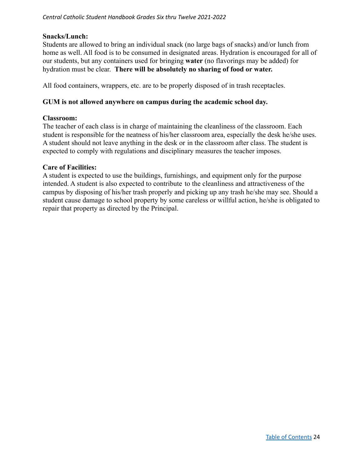#### **Snacks/Lunch:**

Students are allowed to bring an individual snack (no large bags of snacks) and/or lunch from home as well. All food is to be consumed in designated areas. Hydration is encouraged for all of our students, but any containers used for bringing **water** (no flavorings may be added) for hydration must be clear. **There will be absolutely no sharing of food or water.**

All food containers, wrappers, etc. are to be properly disposed of in trash receptacles.

#### **GUM is not allowed anywhere on campus during the academic school day.**

#### **Classroom:**

The teacher of each class is in charge of maintaining the cleanliness of the classroom. Each student is responsible for the neatness of his/her classroom area, especially the desk he/she uses. A student should not leave anything in the desk or in the classroom after class. The student is expected to comply with regulations and disciplinary measures the teacher imposes.

#### **Care of Facilities:**

A student is expected to use the buildings, furnishings, and equipment only for the purpose intended. A student is also expected to contribute to the cleanliness and attractiveness of the campus by disposing of his/her trash properly and picking up any trash he/she may see. Should a student cause damage to school property by some careless or willful action, he/she is obligated to repair that property as directed by the Principal.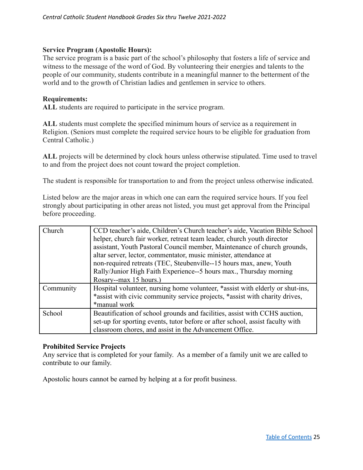#### **Service Program (Apostolic Hours):**

The service program is a basic part of the school's philosophy that fosters a life of service and witness to the message of the word of God. By volunteering their energies and talents to the people of our community, students contribute in a meaningful manner to the betterment of the world and to the growth of Christian ladies and gentlemen in service to others.

#### **Requirements:**

**ALL** students are required to participate in the service program.

**ALL** students must complete the specified minimum hours of service as a requirement in Religion. (Seniors must complete the required service hours to be eligible for graduation from Central Catholic.)

**ALL** projects will be determined by clock hours unless otherwise stipulated. Time used to travel to and from the project does not count toward the project completion.

The student is responsible for transportation to and from the project unless otherwise indicated.

Listed below are the major areas in which one can earn the required service hours. If you feel strongly about participating in other areas not listed, you must get approval from the Principal before proceeding.

| Church    | CCD teacher's aide, Children's Church teacher's aide, Vacation Bible School   |
|-----------|-------------------------------------------------------------------------------|
|           | helper, church fair worker, retreat team leader, church youth director        |
|           | assistant, Youth Pastoral Council member, Maintenance of church grounds,      |
|           | altar server, lector, commentator, music minister, attendance at              |
|           | non-required retreats (TEC, Steubenville--15 hours max, anew, Youth           |
|           | Rally/Junior High Faith Experience--5 hours max., Thursday morning            |
|           | Rosary--max 15 hours.)                                                        |
| Community | Hospital volunteer, nursing home volunteer, *assist with elderly or shut-ins, |
|           | *assist with civic community service projects, *assist with charity drives,   |
|           | *manual work                                                                  |
| School    | Beautification of school grounds and facilities, assist with CCHS auction,    |
|           | set-up for sporting events, tutor before or after school, assist faculty with |
|           | classroom chores, and assist in the Advancement Office.                       |

#### **Prohibited Service Projects**

Any service that is completed for your family. As a member of a family unit we are called to contribute to our family.

Apostolic hours cannot be earned by helping at a for profit business.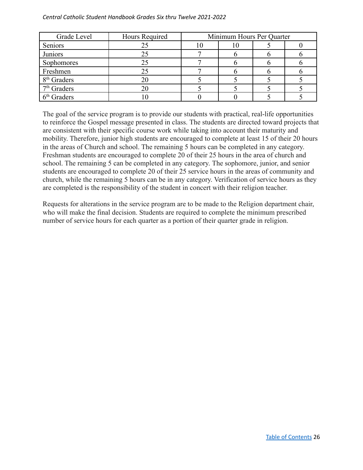#### *Central Catholic Student Handbook Grades Six thru Twelve 2021-2022*

| Grade Level             | Hours Required | Minimum Hours Per Quarter |  |
|-------------------------|----------------|---------------------------|--|
| Seniors                 | 25             | 1 U                       |  |
| Juniors                 | 25             |                           |  |
| Sophomores              | 25             |                           |  |
| Freshmen                | 25             |                           |  |
| 8 <sup>th</sup> Graders | 20             |                           |  |
| $7th$ Graders           | 20             |                           |  |
| $6th$ Graders           |                |                           |  |

The goal of the service program is to provide our students with practical, real-life opportunities to reinforce the Gospel message presented in class. The students are directed toward projects that are consistent with their specific course work while taking into account their maturity and mobility. Therefore, junior high students are encouraged to complete at least 15 of their 20 hours in the areas of Church and school. The remaining 5 hours can be completed in any category. Freshman students are encouraged to complete 20 of their 25 hours in the area of church and school. The remaining 5 can be completed in any category. The sophomore, junior, and senior students are encouraged to complete 20 of their 25 service hours in the areas of community and church, while the remaining 5 hours can be in any category. Verification of service hours as they are completed is the responsibility of the student in concert with their religion teacher.

Requests for alterations in the service program are to be made to the Religion department chair, who will make the final decision. Students are required to complete the minimum prescribed number of service hours for each quarter as a portion of their quarter grade in religion.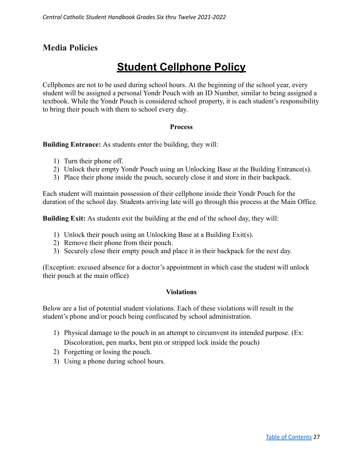## **Media Policies**

# **Student Cellphone Policy**

Cellphones are not to be used during school hours. At the beginning of the school year, every student will be assigned a personal Yondr Pouch with an ID Number, similar to being assigned a textbook. While the Yondr Pouch is considered school property, it is each student's responsibility to bring their pouch with them to school every day.

#### **Process**

**Building Entrance:** As students enter the building, they will:

- 1) Turn their phone off.
- 2) Unlock their empty Yondr Pouch using an Unlocking Base at the Building Entrance(s).
- 3) Place their phone inside the pouch, securely close it and store in their backpack.

Each student will maintain possession of their cellphone inside their Yondr Pouch for the duration of the school day. Students arriving late will go through this process at the Main Office.

**Building Exit:** As students exit the building at the end of the school day, they will:

- 1) Unlock their pouch using an Unlocking Base at a Building Exit(s).
- 2) Remove their phone from their pouch.
- 3) Securely close their empty pouch and place it in their backpack for the next day.

(Exception: excused absence for a doctor's appointment in which case the student will unlock their pouch at the main office)

#### **Violations**

Below are a list of potential student violations. Each of these violations will result in the student's phone and/or pouch being confiscated by school administration.

- 1) Physical damage to the pouch in an attempt to circumvent its intended purpose. (Ex: Discoloration, pen marks, bent pin or stripped lock inside the pouch)
- 2) Forgetting or losing the pouch.
- 3) Using a phone during school hours.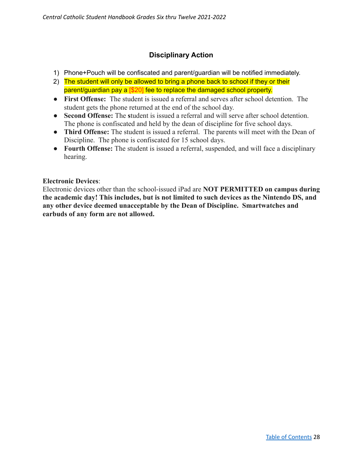## **Disciplinary Action**

- 1) Phone+Pouch will be confiscated and parent/guardian will be notified immediately.
- 2) The student will only be allowed to bring a phone back to school if they or their parent/guardian pay a [\$20] fee to replace the damaged school property.
- **First Offense:** The student is issued a referral and serves after school detention. The student gets the phone returned at the end of the school day.
- **● Second Offense:** The **s**tudent is issued a referral and will serve after school detention. The phone is confiscated and held by the dean of discipline for five school days.
- **● Third Offense:** The student is issued a referral. The parents will meet with the Dean of Discipline. The phone is confiscated for 15 school days.
- **● Fourth Offense:** The student is issued a referral, suspended, and will face a disciplinary hearing.

## **Electronic Devices**:

Electronic devices other than the school-issued iPad are **NOT PERMITTED on campus during the academic day! This includes, but is not limited to such devices as the Nintendo DS, and any other device deemed unacceptable by the Dean of Discipline. Smartwatches and earbuds of any form are not allowed.**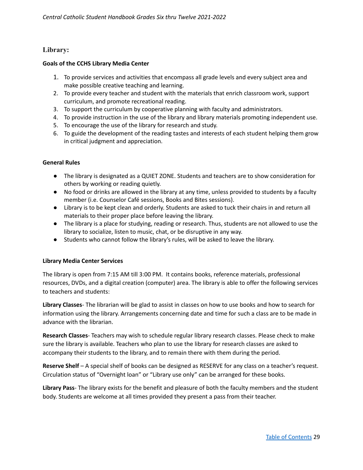#### **Library:**

#### **Goals of the CCHS Library Media Center**

- 1. To provide services and activities that encompass all grade levels and every subject area and make possible creative teaching and learning.
- 2. To provide every teacher and student with the materials that enrich classroom work, support curriculum, and promote recreational reading.
- 3. To support the curriculum by cooperative planning with faculty and administrators.
- 4. To provide instruction in the use of the library and library materials promoting independent use.
- 5. To encourage the use of the library for research and study.
- 6. To guide the development of the reading tastes and interests of each student helping them grow in critical judgment and appreciation.

#### **General Rules**

- The library is designated as a QUIET ZONE. Students and teachers are to show consideration for others by working or reading quietly.
- No food or drinks are allowed in the library at any time, unless provided to students by a faculty member (i.e. Counselor Café sessions, Books and Bites sessions).
- Library is to be kept clean and orderly. Students are asked to tuck their chairs in and return all materials to their proper place before leaving the library.
- The library is a place for studying, reading or research. Thus, students are not allowed to use the library to socialize, listen to music, chat, or be disruptive in any way.
- Students who cannot follow the library's rules, will be asked to leave the library.

#### **Library Media Center Services**

The library is open from 7:15 AM till 3:00 PM. It contains books, reference materials, professional resources, DVDs, and a digital creation (computer) area. The library is able to offer the following services to teachers and students:

**Library Classes**- The librarian will be glad to assist in classes on how to use books and how to search for information using the library. Arrangements concerning date and time for such a class are to be made in advance with the librarian.

**Research Classes**- Teachers may wish to schedule regular library research classes. Please check to make sure the library is available. Teachers who plan to use the library for research classes are asked to accompany their students to the library, and to remain there with them during the period.

**Reserve Shelf** – A special shelf of books can be designed as RESERVE for any class on a teacher's request. Circulation status of "Overnight loan" or "Library use only" can be arranged for these books.

**Library Pass**- The library exists for the benefit and pleasure of both the faculty members and the student body. Students are welcome at all times provided they present a pass from their teacher.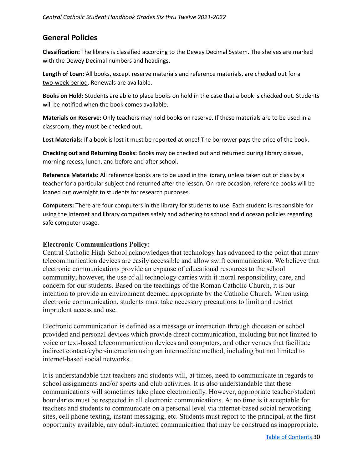## **General Policies**

**Classification:** The library is classified according to the Dewey Decimal System. The shelves are marked with the Dewey Decimal numbers and headings.

**Length of Loan:** All books, except reserve materials and reference materials, are checked out for a two-week period. Renewals are available.

**Books on Hold:** Students are able to place books on hold in the case that a book is checked out. Students will be notified when the book comes available.

**Materials on Reserve:** Only teachers may hold books on reserve. If these materials are to be used in a classroom, they must be checked out.

**Lost Materials:** If a book is lost it must be reported at once! The borrower pays the price of the book.

**Checking out and Returning Books:** Books may be checked out and returned during library classes, morning recess, lunch, and before and after school.

**Reference Materials:** All reference books are to be used in the library, unless taken out of class by a teacher for a particular subject and returned after the lesson. On rare occasion, reference books will be loaned out overnight to students for research purposes.

**Computers:** There are four computers in the library for students to use. Each student is responsible for using the Internet and library computers safely and adhering to school and diocesan policies regarding safe computer usage.

#### **Electronic Communications Policy:**

Central Catholic High School acknowledges that technology has advanced to the point that many telecommunication devices are easily accessible and allow swift communication. We believe that electronic communications provide an expanse of educational resources to the school community; however, the use of all technology carries with it moral responsibility, care, and concern for our students. Based on the teachings of the Roman Catholic Church, it is our intention to provide an environment deemed appropriate by the Catholic Church. When using electronic communication, students must take necessary precautions to limit and restrict imprudent access and use.

Electronic communication is defined as a message or interaction through diocesan or school provided and personal devices which provide direct communication, including but not limited to voice or text-based telecommunication devices and computers, and other venues that facilitate indirect contact/cyber-interaction using an intermediate method, including but not limited to internet-based social networks.

It is understandable that teachers and students will, at times, need to communicate in regards to school assignments and/or sports and club activities. It is also understandable that these communications will sometimes take place electronically. However, appropriate teacher/student boundaries must be respected in all electronic communications. At no time is it acceptable for teachers and students to communicate on a personal level via internet-based social networking sites, cell phone texting, instant messaging, etc. Students must report to the principal, at the first opportunity available, any adult-initiated communication that may be construed as inappropriate.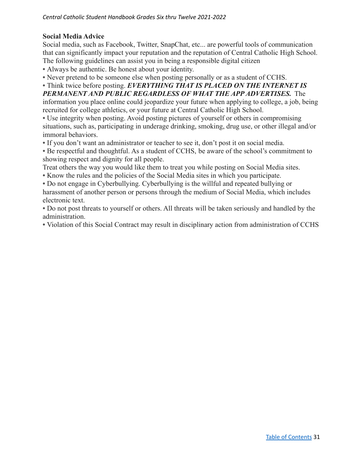## **Social Media Advice**

Social media, such as Facebook, Twitter, SnapChat, etc... are powerful tools of communication that can significantly impact your reputation and the reputation of Central Catholic High School. The following guidelines can assist you in being a responsible digital citizen

**•** Always be authentic. Be honest about your identity.

**•** Never pretend to be someone else when posting personally or as a student of CCHS.

**•** Think twice before posting. *EVERYTHING THAT IS PLACED ON THE INTERNET IS PERMANENT AND PUBLIC REGARDLESS OF WHAT THE APP ADVERTISES.* The

information you place online could jeopardize your future when applying to college, a job, being recruited for college athletics, or your future at Central Catholic High School.

**•** Use integrity when posting. Avoid posting pictures of yourself or others in compromising situations, such as, participating in underage drinking, smoking, drug use, or other illegal and/or immoral behaviors.

**•** If you don't want an administrator or teacher to see it, don't post it on social media.

**•** Be respectful and thoughtful. As a student of CCHS, be aware of the school's commitment to showing respect and dignity for all people.

Treat others the way you would like them to treat you while posting on Social Media sites.

**•** Know the rules and the policies of the Social Media sites in which you participate.

**•** Do not engage in Cyberbullying. Cyberbullying is the willful and repeated bullying or harassment of another person or persons through the medium of Social Media, which includes electronic text.

**•** Do not post threats to yourself or others. All threats will be taken seriously and handled by the administration.

**•** Violation of this Social Contract may result in disciplinary action from administration of CCHS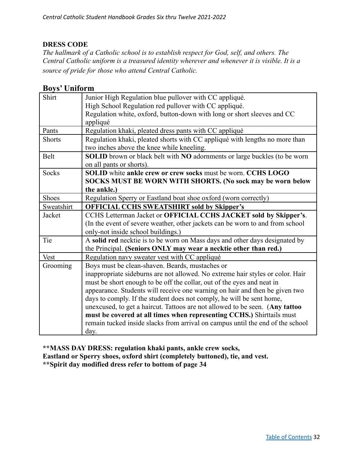## **DRESS CODE**

*The hallmark of a Catholic school is to establish respect for God, self, and others. The Central Catholic uniform is a treasured identity wherever and whenever it is visible. It is a source of pride for those who attend Central Catholic.*

## **Boys' Uniform**

| Shirt         | Junior High Regulation blue pullover with CC appliqué.                         |
|---------------|--------------------------------------------------------------------------------|
|               | High School Regulation red pullover with CC appliqué.                          |
|               | Regulation white, oxford, button-down with long or short sleeves and CC        |
|               | appliqué                                                                       |
| Pants         | Regulation khaki, pleated dress pants with CC appliqué                         |
| <b>Shorts</b> | Regulation khaki, pleated shorts with CC appliqué with lengths no more than    |
|               | two inches above the knee while kneeling.                                      |
| <b>Belt</b>   | SOLID brown or black belt with NO adornments or large buckles (to be worn      |
|               | on all pants or shorts).                                                       |
| Socks         | SOLID white ankle crew or crew socks must be worn. CCHS LOGO                   |
|               | SOCKS MUST BE WORN WITH SHORTS. (No sock may be worn below                     |
|               | the ankle.)                                                                    |
| <b>Shoes</b>  | Regulation Sperry or Eastland boat shoe oxford (worn correctly)                |
| Sweatshirt    | <b>OFFICIAL CCHS SWEATSHIRT sold by Skipper's</b>                              |
| Jacket        | CCHS Letterman Jacket or OFFICIAL CCHS JACKET sold by Skipper's.               |
|               | (In the event of severe weather, other jackets can be worn to and from school  |
|               | only-not inside school buildings.)                                             |
| Tie           | A solid red necktie is to be worn on Mass days and other days designated by    |
|               | the Principal. (Seniors ONLY may wear a necktie other than red.)               |
| <b>Vest</b>   | Regulation navy sweater vest with CC appliqué                                  |
| Grooming      | Boys must be clean-shaven. Beards, mustaches or                                |
|               | inappropriate sideburns are not allowed. No extreme hair styles or color. Hair |
|               | must be short enough to be off the collar, out of the eyes and neat in         |
|               | appearance. Students will receive one warning on hair and then be given two    |
|               | days to comply. If the student does not comply, he will be sent home,          |
|               | unexcused, to get a haircut. Tattoos are not allowed to be seen. (Any tattoo   |
|               | must be covered at all times when representing CCHS.) Shirttails must          |
|               | remain tucked inside slacks from arrival on campus until the end of the school |
|               | day.                                                                           |

**\*\*MASS DAY DRESS: regulation khaki pants, ankle crew socks, Eastland or Sperry shoes, oxford shirt (completely buttoned), tie, and vest. \*\*Spirit day modified dress refer to bottom of page 34**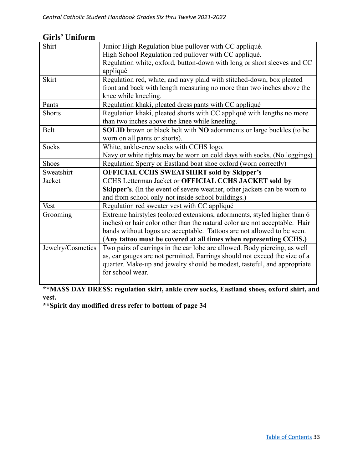| UIL 15<br>UHHUL HI |                                                                             |
|--------------------|-----------------------------------------------------------------------------|
| Shirt              | Junior High Regulation blue pullover with CC appliqué.                      |
|                    | High School Regulation red pullover with CC appliqué.                       |
|                    | Regulation white, oxford, button-down with long or short sleeves and CC     |
|                    | appliqué                                                                    |
| <b>Skirt</b>       | Regulation red, white, and navy plaid with stitched-down, box pleated       |
|                    | front and back with length measuring no more than two inches above the      |
|                    | knee while kneeling.                                                        |
| Pants              | Regulation khaki, pleated dress pants with CC appliqué                      |
| <b>Shorts</b>      | Regulation khaki, pleated shorts with CC appliqué with lengths no more      |
|                    | than two inches above the knee while kneeling.                              |
| <b>Belt</b>        | SOLID brown or black belt with NO adornments or large buckles (to be        |
|                    | worn on all pants or shorts).                                               |
| Socks              | White, ankle-crew socks with CCHS logo.                                     |
|                    | Navy or white tights may be worn on cold days with socks. (No leggings)     |
| <b>Shoes</b>       | Regulation Sperry or Eastland boat shoe oxford (worn correctly)             |
| Sweatshirt         | <b>OFFICIAL CCHS SWEATSHIRT sold by Skipper's</b>                           |
| Jacket             | CCHS Letterman Jacket or OFFICIAL CCHS JACKET sold by                       |
|                    | Skipper's. (In the event of severe weather, other jackets can be worn to    |
|                    | and from school only-not inside school buildings.)                          |
| Vest               | Regulation red sweater vest with CC appliqué                                |
| Grooming           | Extreme hairstyles (colored extensions, adornments, styled higher than 6    |
|                    | inches) or hair color other than the natural color are not acceptable. Hair |
|                    | bands without logos are acceptable. Tattoos are not allowed to be seen.     |
|                    | (Any tattoo must be covered at all times when representing CCHS.)           |
| Jewelry/Cosmetics  | Two pairs of earrings in the ear lobe are allowed. Body piercing, as well   |
|                    | as, ear gauges are not permitted. Earrings should not exceed the size of a  |
|                    | quarter. Make-up and jewelry should be modest, tasteful, and appropriate    |
|                    | for school wear.                                                            |
|                    |                                                                             |

## **Girls' Uniform**

**\*\*MASS DAY DRESS: regulation skirt, ankle crew socks, Eastland shoes, oxford shirt, and vest.**

**\*\*Spirit day modified dress refer to bottom of page 34**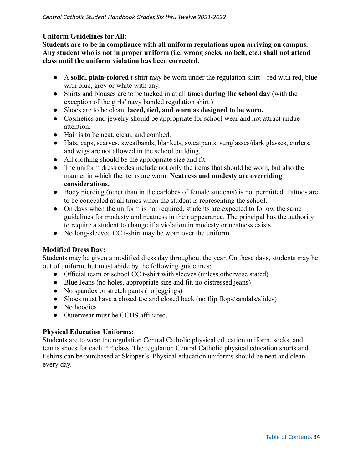### **Uniform Guidelines for All:**

**Students are to be in compliance with all uniform regulations upon arriving on campus. Any student who is not in proper uniform (i.e. wrong socks, no belt, etc.) shall not attend class until the uniform violation has been corrected.**

- A **solid, plain-colored** t-shirt may be worn under the regulation shirt—red with red, blue with blue, grey or white with any.
- Shirts and blouses are to be tucked in at all times **during the school day** (with the exception of the girls' navy banded regulation shirt.)
- Shoes are to be clean, **laced, tied, and worn as designed to be worn.**
- Cosmetics and jewelry should be appropriate for school wear and not attract undue attention.
- Hair is to be neat, clean, and combed.
- Hats, caps, scarves, sweatbands, blankets, sweatpants, sunglasses/dark glasses, curlers, and wigs are not allowed in the school building.
- All clothing should be the appropriate size and fit.
- The uniform dress codes include not only the items that should be worn, but also the manner in which the items are worn. **Neatness and modesty are overriding considerations.**
- Body piercing (other than in the earlobes of female students) is not permitted. Tattoos are to be concealed at all times when the student is representing the school.
- On days when the uniform is not required, students are expected to follow the same guidelines for modesty and neatness in their appearance. The principal has the authority to require a student to change if a violation in modesty or neatness exists.
- No long-sleeved CC t-shirt may be worn over the uniform.

## **Modified Dress Day:**

Students may be given a modified dress day throughout the year. On these days, students may be out of uniform, but must abide by the following guidelines:

- Official team or school CC t-shirt with sleeves (unless otherwise stated)
- Blue Jeans (no holes, appropriate size and fit, no distressed jeans)
- No spandex or stretch pants (no jeggings)
- Shoes must have a closed toe and closed back (no flip flops/sandals/slides)
- No hoodies
- Outerwear must be CCHS affiliated.

## **Physical Education Uniforms:**

Students are to wear the regulation Central Catholic physical education uniform, socks, and tennis shoes for each P.E class. The regulation Central Catholic physical education shorts and t-shirts can be purchased at Skipper's. Physical education uniforms should be neat and clean every day.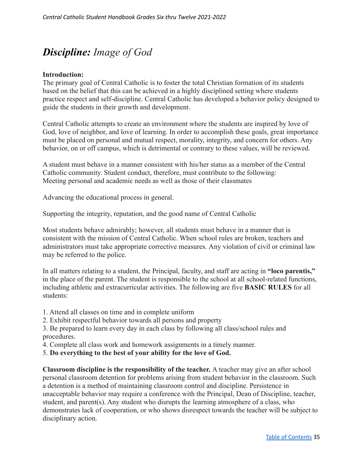# <span id="page-34-0"></span>*Discipline: Image of God*

#### **Introduction:**

The primary goal of Central Catholic is to foster the total Christian formation of its students based on the belief that this can be achieved in a highly disciplined setting where students practice respect and self-discipline. Central Catholic has developed a behavior policy designed to guide the students in their growth and development.

Central Catholic attempts to create an environment where the students are inspired by love of God, love of neighbor, and love of learning. In order to accomplish these goals, great importance must be placed on personal and mutual respect, morality, integrity, and concern for others. Any behavior, on or off campus, which is detrimental or contrary to these values, will be reviewed.

A student must behave in a manner consistent with his/her status as a member of the Central Catholic community. Student conduct, therefore, must contribute to the following: Meeting personal and academic needs as well as those of their classmates

Advancing the educational process in general.

Supporting the integrity, reputation, and the good name of Central Catholic

Most students behave admirably; however, all students must behave in a manner that is consistent with the mission of Central Catholic. When school rules are broken, teachers and administrators must take appropriate corrective measures. Any violation of civil or criminal law may be referred to the police.

In all matters relating to a student, the Principal, faculty, and staff are acting in **"loco parentis,"** in the place of the parent. The student is responsible to the school at all school-related functions, including athletic and extracurricular activities. The following are five **BASIC RULES** for all students:

- 1. Attend all classes on time and in complete uniform
- 2. Exhibit respectful behavior towards all persons and property

3. Be prepared to learn every day in each class by following all class/school rules and procedures.

- 4. Complete all class work and homework assignments in a timely manner.
- 5. **Do everything to the best of your ability for the love of God.**

**Classroom discipline is the responsibility of the teacher.** A teacher may give an after school personal classroom detention for problems arising from student behavior in the classroom. Such a detention is a method of maintaining classroom control and discipline. Persistence in unacceptable behavior may require a conference with the Principal, Dean of Discipline, teacher, student, and parent(s). Any student who disrupts the learning atmosphere of a class, who demonstrates lack of cooperation, or who shows disrespect towards the teacher will be subject to disciplinary action.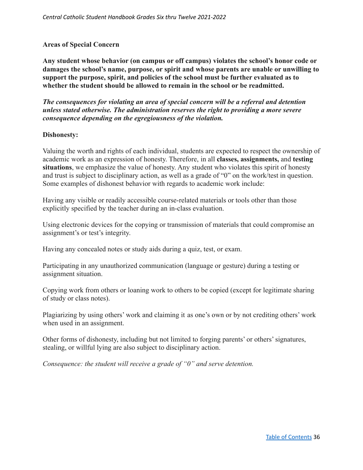#### **Areas of Special Concern**

**Any student whose behavior (on campus or off campus) violates the school's honor code or damages the school's name, purpose, or spirit and whose parents are unable or unwilling to support the purpose, spirit, and policies of the school must be further evaluated as to whether the student should be allowed to remain in the school or be readmitted.**

*The consequences for violating an area of special concern will be a referral and detention unless stated otherwise. The administration reserves the right to providing a more severe consequence depending on the egregiousness of the violation.*

#### <span id="page-35-0"></span>**Dishonesty:**

Valuing the worth and rights of each individual, students are expected to respect the ownership of academic work as an expression of honesty. Therefore, in all **classes, assignments,** and **testing situations**, we emphasize the value of honesty. Any student who violates this spirit of honesty and trust is subject to disciplinary action, as well as a grade of "0" on the work/test in question. Some examples of dishonest behavior with regards to academic work include:

Having any visible or readily accessible course-related materials or tools other than those explicitly specified by the teacher during an in-class evaluation.

Using electronic devices for the copying or transmission of materials that could compromise an assignment's or test's integrity.

Having any concealed notes or study aids during a quiz, test, or exam.

Participating in any unauthorized communication (language or gesture) during a testing or assignment situation.

Copying work from others or loaning work to others to be copied (except for legitimate sharing of study or class notes).

Plagiarizing by using others' work and claiming it as one's own or by not crediting others' work when used in an assignment.

Other forms of dishonesty, including but not limited to forging parents' or others' signatures, stealing, or willful lying are also subject to disciplinary action.

*Consequence: the student will receive a grade of "0" and serve detention.*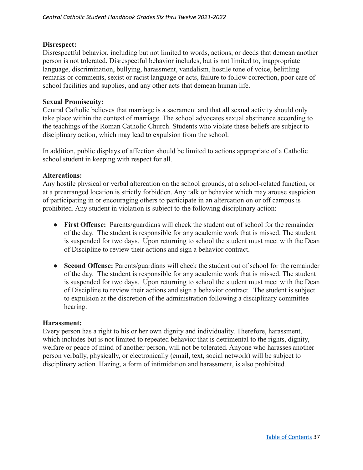## **Disrespect:**

Disrespectful behavior, including but not limited to words, actions, or deeds that demean another person is not tolerated. Disrespectful behavior includes, but is not limited to, inappropriate language, discrimination, bullying, harassment, vandalism, hostile tone of voice, belittling remarks or comments, sexist or racist language or acts, failure to follow correction, poor care of school facilities and supplies, and any other acts that demean human life.

## **Sexual Promiscuity:**

Central Catholic believes that marriage is a sacrament and that all sexual activity should only take place within the context of marriage. The school advocates sexual abstinence according to the teachings of the Roman Catholic Church. Students who violate these beliefs are subject to disciplinary action, which may lead to expulsion from the school.

In addition, public displays of affection should be limited to actions appropriate of a Catholic school student in keeping with respect for all.

#### **Altercations:**

Any hostile physical or verbal altercation on the school grounds, at a school-related function, or at a prearranged location is strictly forbidden. Any talk or behavior which may arouse suspicion of participating in or encouraging others to participate in an altercation on or off campus is prohibited. Any student in violation is subject to the following disciplinary action:

- **First Offense:** Parents/guardians will check the student out of school for the remainder of the day. The student is responsible for any academic work that is missed. The student is suspended for two days. Upon returning to school the student must meet with the Dean of Discipline to review their actions and sign a behavior contract.
- **● Second Offense:** Parents/guardians will check the student out of school for the remainder of the day. The student is responsible for any academic work that is missed. The student is suspended for two days. Upon returning to school the student must meet with the Dean of Discipline to review their actions and sign a behavior contract. The student is subject to expulsion at the discretion of the administration following a disciplinary committee hearing.

#### **Harassment:**

Every person has a right to his or her own dignity and individuality. Therefore, harassment, which includes but is not limited to repeated behavior that is detrimental to the rights, dignity, welfare or peace of mind of another person, will not be tolerated. Anyone who harasses another person verbally, physically, or electronically (email, text, social network) will be subject to disciplinary action. Hazing, a form of intimidation and harassment, is also prohibited.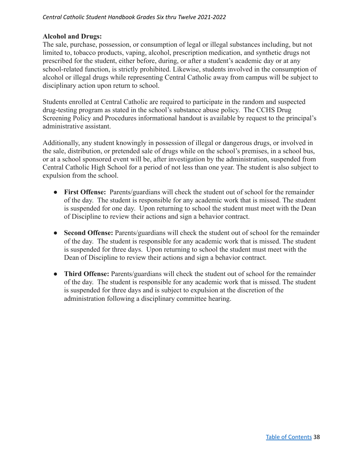#### *Central Catholic Student Handbook Grades Six thru Twelve 2021-2022*

#### **Alcohol and Drugs:**

The sale, purchase, possession, or consumption of legal or illegal substances including, but not limited to, tobacco products, vaping, alcohol, prescription medication, and synthetic drugs not prescribed for the student, either before, during, or after a student's academic day or at any school-related function, is strictly prohibited. Likewise, students involved in the consumption of alcohol or illegal drugs while representing Central Catholic away from campus will be subject to disciplinary action upon return to school.

Students enrolled at Central Catholic are required to participate in the random and suspected drug-testing program as stated in the school's substance abuse policy. The CCHS Drug Screening Policy and Procedures informational handout is available by request to the principal's administrative assistant.

Additionally, any student knowingly in possession of illegal or dangerous drugs, or involved in the sale, distribution, or pretended sale of drugs while on the school's premises, in a school bus, or at a school sponsored event will be, after investigation by the administration, suspended from Central Catholic High School for a period of not less than one year. The student is also subject to expulsion from the school.

- **First Offense:** Parents/guardians will check the student out of school for the remainder of the day. The student is responsible for any academic work that is missed. The student is suspended for one day. Upon returning to school the student must meet with the Dean of Discipline to review their actions and sign a behavior contract.
- **● Second Offense:** Parents/guardians will check the student out of school for the remainder of the day. The student is responsible for any academic work that is missed. The student is suspended for three days. Upon returning to school the student must meet with the Dean of Discipline to review their actions and sign a behavior contract.
- **● Third Offense:** Parents/guardians will check the student out of school for the remainder of the day. The student is responsible for any academic work that is missed. The student is suspended for three days and is subject to expulsion at the discretion of the administration following a disciplinary committee hearing.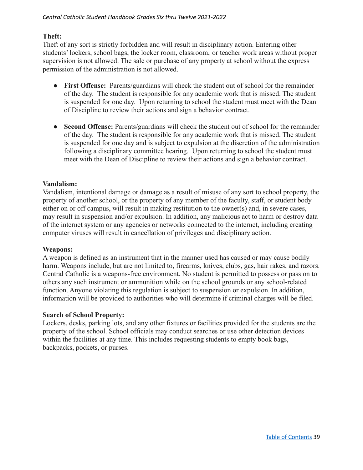#### *Central Catholic Student Handbook Grades Six thru Twelve 2021-2022*

## **Theft:**

Theft of any sort is strictly forbidden and will result in disciplinary action. Entering other students' lockers, school bags, the locker room, classroom, or teacher work areas without proper supervision is not allowed. The sale or purchase of any property at school without the express permission of the administration is not allowed.

- **First Offense:** Parents/guardians will check the student out of school for the remainder of the day. The student is responsible for any academic work that is missed. The student is suspended for one day. Upon returning to school the student must meet with the Dean of Discipline to review their actions and sign a behavior contract.
- **● Second Offense:** Parents/guardians will check the student out of school for the remainder of the day. The student is responsible for any academic work that is missed. The student is suspended for one day and is subject to expulsion at the discretion of the administration following a disciplinary committee hearing. Upon returning to school the student must meet with the Dean of Discipline to review their actions and sign a behavior contract.

## **Vandalism:**

Vandalism, intentional damage or damage as a result of misuse of any sort to school property, the property of another school, or the property of any member of the faculty, staff, or student body either on or off campus, will result in making restitution to the owner(s) and, in severe cases, may result in suspension and/or expulsion. In addition, any malicious act to harm or destroy data of the internet system or any agencies or networks connected to the internet, including creating computer viruses will result in cancellation of privileges and disciplinary action.

#### **Weapons:**

A weapon is defined as an instrument that in the manner used has caused or may cause bodily harm. Weapons include, but are not limited to, firearms, knives, clubs, gas, hair rakes, and razors. Central Catholic is a weapons-free environment. No student is permitted to possess or pass on to others any such instrument or ammunition while on the school grounds or any school-related function. Anyone violating this regulation is subject to suspension or expulsion. In addition, information will be provided to authorities who will determine if criminal charges will be filed.

#### **Search of School Property:**

Lockers, desks, parking lots, and any other fixtures or facilities provided for the students are the property of the school. School officials may conduct searches or use other detection devices within the facilities at any time. This includes requesting students to empty book bags, backpacks, pockets, or purses.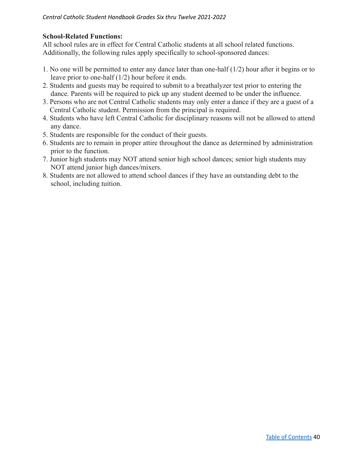## **School-Related Functions:**

All school rules are in effect for Central Catholic students at all school related functions. Additionally, the following rules apply specifically to school-sponsored dances:

- 1. No one will be permitted to enter any dance later than one-half (1/2) hour after it begins or to leave prior to one-half (1/2) hour before it ends.
- 2. Students and guests may be required to submit to a breathalyzer test prior to entering the dance. Parents will be required to pick up any student deemed to be under the influence.
- 3. Persons who are not Central Catholic students may only enter a dance if they are a guest of a Central Catholic student. Permission from the principal is required.
- 4. Students who have left Central Catholic for disciplinary reasons will not be allowed to attend any dance.
- 5. Students are responsible for the conduct of their guests.
- 6. Students are to remain in proper attire throughout the dance as determined by administration prior to the function.
- 7. Junior high students may NOT attend senior high school dances; senior high students may NOT attend junior high dances/mixers.
- 8. Students are not allowed to attend school dances if they have an outstanding debt to the school, including tuition.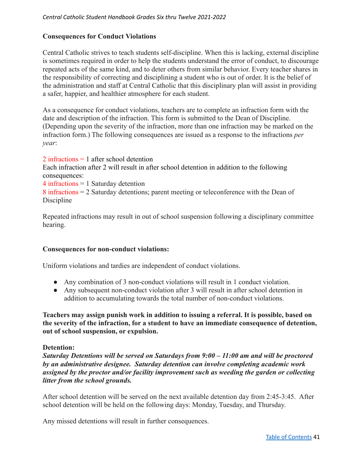## **Consequences for Conduct Violations**

Central Catholic strives to teach students self-discipline. When this is lacking, external discipline is sometimes required in order to help the students understand the error of conduct, to discourage repeated acts of the same kind, and to deter others from similar behavior. Every teacher shares in the responsibility of correcting and disciplining a student who is out of order. It is the belief of the administration and staff at Central Catholic that this disciplinary plan will assist in providing a safer, happier, and healthier atmosphere for each student.

As a consequence for conduct violations, teachers are to complete an infraction form with the date and description of the infraction. This form is submitted to the Dean of Discipline. (Depending upon the severity of the infraction, more than one infraction may be marked on the infraction form.) The following consequences are issued as a response to the infractions *per year*:

2 infractions = 1 after school detention Each infraction after 2 will result in after school detention in addition to the following consequences:

4 infractions = 1 Saturday detention

8 infractions = 2 Saturday detentions; parent meeting or teleconference with the Dean of Discipline

Repeated infractions may result in out of school suspension following a disciplinary committee hearing.

#### **Consequences for non-conduct violations:**

Uniform violations and tardies are independent of conduct violations.

- Any combination of 3 non-conduct violations will result in 1 conduct violation.
- Any subsequent non-conduct violation after 3 will result in after school detention in addition to accumulating towards the total number of non-conduct violations.

**Teachers may assign punish work in addition to issuing a referral. It is possible, based on the severity of the infraction, for a student to have an immediate consequence of detention, out of school suspension, or expulsion.**

#### **Detention:**

*Saturday Detentions will be served on Saturdays from 9:00 – 11:00 am and will be proctored by an administrative designee. Saturday detention can involve completing academic work assigned by the proctor and/or facility improvement such as weeding the garden or collecting litter from the school grounds.*

After school detention will be served on the next available detention day from 2:45-3:45. After school detention will be held on the following days: Monday, Tuesday, and Thursday.

Any missed detentions will result in further consequences.